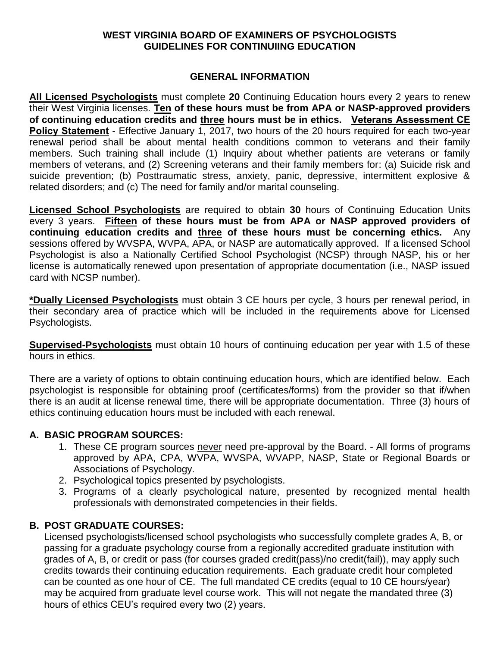## **WEST VIRGINIA BOARD OF EXAMINERS OF PSYCHOLOGISTS GUIDELINES FOR CONTINUIING EDUCATION**

## **GENERAL INFORMATION**

**All Licensed Psychologists** must complete **20** Continuing Education hours every 2 years to renew their West Virginia licenses. **Ten of these hours must be from APA or NASP-approved providers of continuing education credits and three hours must be in ethics. Veterans Assessment CE Policy Statement** - Effective January 1, 2017, two hours of the 20 hours required for each two-year renewal period shall be about mental health conditions common to veterans and their family members. Such training shall include (1) Inquiry about whether patients are veterans or family members of veterans, and (2) Screening veterans and their family members for: (a) Suicide risk and suicide prevention; (b) Posttraumatic stress, anxiety, panic, depressive, intermittent explosive & related disorders; and (c) The need for family and/or marital counseling.

**Licensed School Psychologists** are required to obtain **30** hours of Continuing Education Units every 3 years. **Fifteen of these hours must be from APA or NASP approved providers of continuing education credits and three of these hours must be concerning ethics.** Any sessions offered by WVSPA, WVPA, APA, or NASP are automatically approved. If a licensed School Psychologist is also a Nationally Certified School Psychologist (NCSP) through NASP, his or her license is automatically renewed upon presentation of appropriate documentation (i.e., NASP issued card with NCSP number).

**\*Dually Licensed Psychologists** must obtain 3 CE hours per cycle, 3 hours per renewal period, in their secondary area of practice which will be included in the requirements above for Licensed Psychologists.

**Supervised-Psychologists** must obtain 10 hours of continuing education per year with 1.5 of these hours in ethics.

There are a variety of options to obtain continuing education hours, which are identified below. Each psychologist is responsible for obtaining proof (certificates/forms) from the provider so that if/when there is an audit at license renewal time, there will be appropriate documentation. Three (3) hours of ethics continuing education hours must be included with each renewal.

## **A. BASIC PROGRAM SOURCES:**

- 1. These CE program sources never need pre-approval by the Board. All forms of programs approved by APA, CPA, WVPA, WVSPA, WVAPP, NASP, State or Regional Boards or Associations of Psychology.
- 2. Psychological topics presented by psychologists.
- 3. Programs of a clearly psychological nature, presented by recognized mental health professionals with demonstrated competencies in their fields.

# **B. POST GRADUATE COURSES:**

Licensed psychologists/licensed school psychologists who successfully complete grades A, B, or passing for a graduate psychology course from a regionally accredited graduate institution with grades of A, B, or credit or pass (for courses graded credit(pass)/no credit(fail)), may apply such credits towards their continuing education requirements. Each graduate credit hour completed can be counted as one hour of CE. The full mandated CE credits (equal to 10 CE hours/year) may be acquired from graduate level course work. This will not negate the mandated three (3) hours of ethics CEU's required every two (2) years.